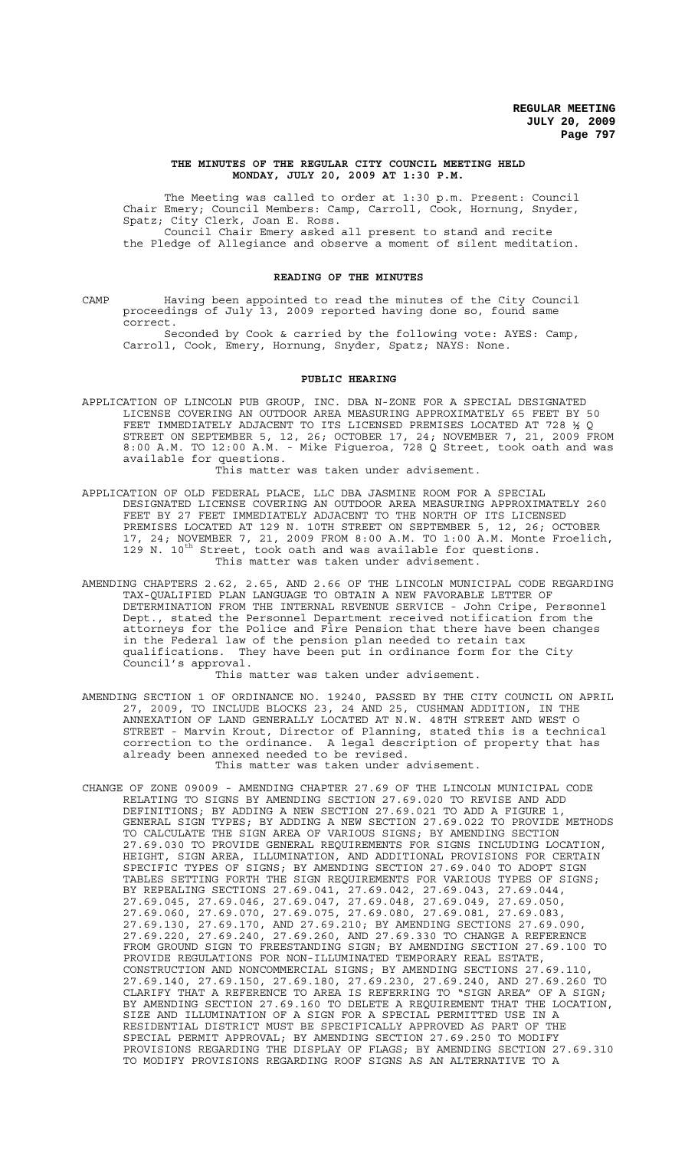#### **THE MINUTES OF THE REGULAR CITY COUNCIL MEETING HELD MONDAY, JULY 20, 2009 AT 1:30 P.M.**

The Meeting was called to order at 1:30 p.m. Present: Council Chair Emery; Council Members: Camp, Carroll, Cook, Hornung, Snyder, Spatz; City Clerk, Joan E. Ross. Council Chair Emery asked all present to stand and recite

the Pledge of Allegiance and observe a moment of silent meditation.

## **READING OF THE MINUTES**

CAMP Having been appointed to read the minutes of the City Council proceedings of July 13, 2009 reported having done so, found same correct.

Seconded by Cook & carried by the following vote: AYES: Camp, Carroll, Cook, Emery, Hornung, Snyder, Spatz; NAYS: None.

### **PUBLIC HEARING**

APPLICATION OF LINCOLN PUB GROUP, INC. DBA N-ZONE FOR A SPECIAL DESIGNATED LICENSE COVERING AN OUTDOOR AREA MEASURING APPROXIMATELY 65 FEET BY 50 FEET IMMEDIATELY ADJACENT TO ITS LICENSED PREMISES LOCATED AT 728 ½ Q STREET ON SEPTEMBER 5, 12, 26; OCTOBER 17, 24; NOVEMBER 7, 21, 2009 FROM 8:00 A.M. TO 12:00 A.M. - Mike Figueroa, 728 Q Street, took oath and was available for questions.

This matter was taken under advisement.

- APPLICATION OF OLD FEDERAL PLACE, LLC DBA JASMINE ROOM FOR A SPECIAL DESIGNATED LICENSE COVERING AN OUTDOOR AREA MEASURING APPROXIMATELY 260 FEET BY 27 FEET IMMEDIATELY ADJACENT TO THE NORTH OF ITS LICENSED PREMISES LOCATED AT 129 N. 10TH STREET ON SEPTEMBER 5, 12, 26; OCTOBER 17, 24; NOVEMBER 7, 21, 2009 FROM 8:00 A.M. TO 1:00 A.M. Monte Froelich, 129 N.  $10^{th}$  Street, took oath and was available for questions. This matter was taken under advisement.
- AMENDING CHAPTERS 2.62, 2.65, AND 2.66 OF THE LINCOLN MUNICIPAL CODE REGARDING TAX-QUALIFIED PLAN LANGUAGE TO OBTAIN A NEW FAVORABLE LETTER OF DETERMINATION FROM THE INTERNAL REVENUE SERVICE - John Cripe, Personnel Dept., stated the Personnel Department received notification from the attorneys for the Police and Fire Pension that there have been changes in the Federal law of the pension plan needed to retain tax qualifications. They have been put in ordinance form for the City Council's approval.

This matter was taken under advisement.

- AMENDING SECTION 1 OF ORDINANCE NO. 19240, PASSED BY THE CITY COUNCIL ON APRIL 27, 2009, TO INCLUDE BLOCKS 23, 24 AND 25, CUSHMAN ADDITION, IN THE ANNEXATION OF LAND GENERALLY LOCATED AT N.W. 48TH STREET AND WEST O STREET - Marvin Krout, Director of Planning, stated this is a technical correction to the ordinance. A legal description of property that has already been annexed needed to be revised. This matter was taken under advisement.
- CHANGE OF ZONE 09009 AMENDING CHAPTER 27.69 OF THE LINCOLN MUNICIPAL CODE RELATING TO SIGNS BY AMENDING SECTION 27.69.020 TO REVISE AND ADD DEFINITIONS; BY ADDING A NEW SECTION 27.69.021 TO ADD A FIGURE 1, GENERAL SIGN TYPES; BY ADDING A NEW SECTION 27.69.022 TO PROVIDE METHODS TO CALCULATE THE SIGN AREA OF VARIOUS SIGNS; BY AMENDING SECTION 27.69.030 TO PROVIDE GENERAL REQUIREMENTS FOR SIGNS INCLUDING LOCATION, HEIGHT, SIGN AREA, ILLUMINATION, AND ADDITIONAL PROVISIONS FOR CERTAIN SPECIFIC TYPES OF SIGNS; BY AMENDING SECTION 27.69.040 TO ADOPT SIGN TABLES SETTING FORTH THE SIGN REQUIREMENTS FOR VARIOUS TYPES OF SIGNS; BY REPEALING SECTIONS 27.69.041, 27.69.042, 27.69.043, 27.69.044, 27.69.045, 27.69.046, 27.69.047, 27.69.048, 27.69.049, 27.69.050, 27.69.060, 27.69.070, 27.69.075, 27.69.080, 27.69.081, 27.69.083, 27.69.130, 27.69.170, AND 27.69.210; BY AMENDING SECTIONS 27.69.090, 27.69.220, 27.69.240, 27.69.260, AND 27.69.330 TO CHANGE A REFERENCE FROM GROUND SIGN TO FREESTANDING SIGN; BY AMENDING SECTION 27.69.100 TO PROVIDE REGULATIONS FOR NON-ILLUMINATED TEMPORARY REAL ESTATE, CONSTRUCTION AND NONCOMMERCIAL SIGNS; BY AMENDING SECTIONS 27.69.110, 27.69.140, 27.69.150, 27.69.180, 27.69.230, 27.69.240, AND 27.69.260 TO CLARIFY THAT A REFERENCE TO AREA IS REFERRING TO "SIGN AREA" OF A SIGN; BY AMENDING SECTION 27.69.160 TO DELETE A REQUIREMENT THAT THE LOCATION, SIZE AND ILLUMINATION OF A SIGN FOR A SPECIAL PERMITTED USE IN A RESIDENTIAL DISTRICT MUST BE SPECIFICALLY APPROVED AS PART OF THE SPECIAL PERMIT APPROVAL; BY AMENDING SECTION 27.69.250 TO MODIFY PROVISIONS REGARDING THE DISPLAY OF FLAGS; BY AMENDING SECTION 27.69.310 TO MODIFY PROVISIONS REGARDING ROOF SIGNS AS AN ALTERNATIVE TO A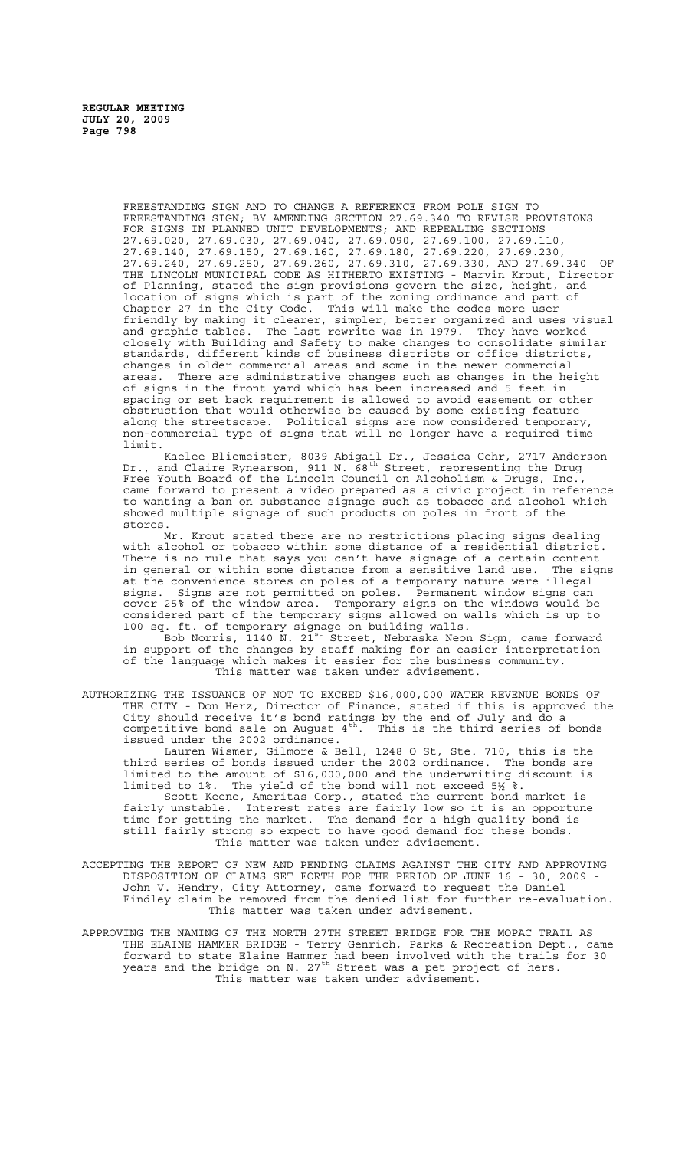FREESTANDING SIGN AND TO CHANGE A REFERENCE FROM POLE SIGN TO FREESTANDING SIGN; BY AMENDING SECTION 27.69.340 TO REVISE PROVISIONS FOR SIGNS IN PLANNED UNIT DEVELOPMENTS; AND REPEALING SECTIONS 27.69.020, 27.69.030, 27.69.040, 27.69.090, 27.69.100, 27.69.110, 27.69.140, 27.69.150, 27.69.160, 27.69.180, 27.69.220, 27.69.230, 27.69.240, 27.69.250, 27.69.260, 27.69.310, 27.69.330, AND 27.69.340 OF THE LINCOLN MUNICIPAL CODE AS HITHERTO EXISTING - Marvin Krout, Director of Planning, stated the sign provisions govern the size, height, and location of signs which is part of the zoning ordinance and part of Chapter 27 in the City Code. This will make the codes more user friendly by making it clearer, simpler, better organized and uses visual and graphic tables. The last rewrite was in 1979. They have worked closely with Building and Safety to make changes to consolidate similar standards, different kinds of business districts or office districts, changes in older commercial areas and some in the newer commercial areas. There are administrative changes such as changes in the height of signs in the front yard which has been increased and 5 feet in spacing or set back requirement is allowed to avoid easement or other obstruction that would otherwise be caused by some existing feature along the streetscape. Political signs are now considered temporary, non-commercial type of signs that will no longer have a required time limit.

Kaelee Bliemeister, 8039 Abigail Dr., Jessica Gehr, 2717 Anderson Dr., and Claire Rynearson, 911 N. 68<sup>th</sup> Street, representing the Drug Free Youth Board of the Lincoln Council on Alcoholism & Drugs, Inc., came forward to present a video prepared as a civic project in reference to wanting a ban on substance signage such as tobacco and alcohol which showed multiple signage of such products on poles in front of the stores.<br>Mr.

Krout stated there are no restrictions placing signs dealing with alcohol or tobacco within some distance of a residential district. There is no rule that says you can't have signage of a certain content in general or within some distance from a sensitive land use. The signs at the convenience stores on poles of a temporary nature were illegal signs. Signs are not permitted on poles. Permanent window signs can cover 25% of the window area. Temporary signs on the windows would be considered part of the temporary signs allowed on walls which is up to 100 sq. ft. of temporary signage on building walls.

Bob Norris, 1140 N. 21<sup>st</sup> Street, Nebraska Neon Sign, came forward in support of the changes by staff making for an easier interpretation of the language which makes it easier for the business community. This matter was taken under advisement.

AUTHORIZING THE ISSUANCE OF NOT TO EXCEED \$16,000,000 WATER REVENUE BONDS OF THE CITY - Don Herz, Director of Finance, stated if this is approved the City should receive it's bond ratings by the end of July and do a competitive bond sale on August  $4^{th}$ . This is the third series of bonds issued under the 2002 ordinance.

Lauren Wismer, Gilmore & Bell, 1248 O St, Ste. 710, this is the third series of bonds issued under the 2002 ordinance. The bonds are limited to the amount of \$16,000,000 and the underwriting discount is limited to 1%. The yield of the bond will not exceed 5½ %.

Scott Keene, Ameritas Corp., stated the current bond market is fairly unstable. Interest rates are fairly low so it is an opportune time for getting the market. The demand for a high quality bond is still fairly strong so expect to have good demand for these bonds. This matter was taken under advisement.

- ACCEPTING THE REPORT OF NEW AND PENDING CLAIMS AGAINST THE CITY AND APPROVING DISPOSITION OF CLAIMS SET FORTH FOR THE PERIOD OF JUNE 16 - 30, 2009 -John V. Hendry, City Attorney, came forward to request the Daniel Findley claim be removed from the denied list for further re-evaluation. This matter was taken under advisement.
- APPROVING THE NAMING OF THE NORTH 27TH STREET BRIDGE FOR THE MOPAC TRAIL AS THE ELAINE HAMMER BRIDGE - Terry Genrich, Parks & Recreation Dept., came forward to state Elaine Hammer had been involved with the trails for 30 years and the bridge on N. 27 $^{\text{th}}$  Street was a pet project of hers. This matter was taken under advisement.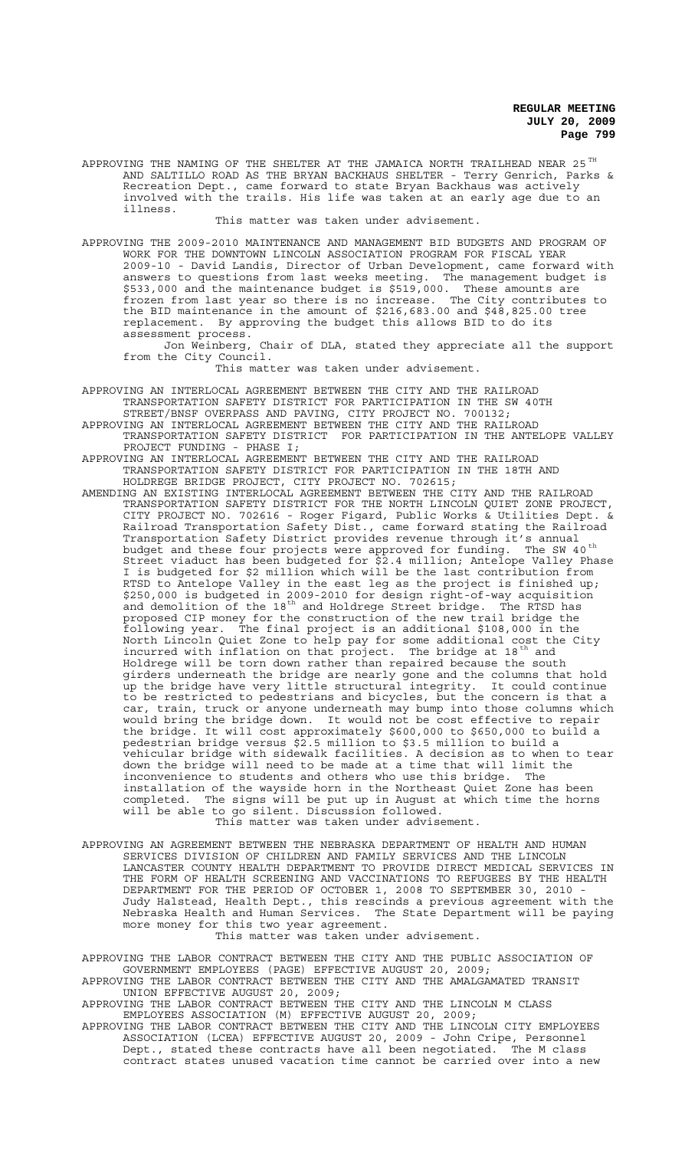APPROVING THE NAMING OF THE SHELTER AT THE JAMAICA NORTH TRAILHEAD NEAR 25  $^{\mathrm{TH}}$ AND SALTILLO ROAD AS THE BRYAN BACKHAUS SHELTER - Terry Genrich, Parks & Recreation Dept., came forward to state Bryan Backhaus was actively involved with the trails. His life was taken at an early age due to an illness.

#### This matter was taken under advisement.

APPROVING THE 2009-2010 MAINTENANCE AND MANAGEMENT BID BUDGETS AND PROGRAM OF WORK FOR THE DOWNTOWN LINCOLN ASSOCIATION PROGRAM FOR FISCAL YEAR 2009-10 - David Landis, Director of Urban Development, came forward with answers to questions from last weeks meeting. The management budget is \$533,000 and the maintenance budget is \$519,000. These amounts are frozen from last year so there is no increase. The City contributes to the BID maintenance in the amount of \$216,683.00 and \$48,825.00 tree replacement. By approving the budget this allows BID to do its assessment process.

Jon Weinberg, Chair of DLA, stated they appreciate all the support from the City Council.

This matter was taken under advisement.

APPROVING AN INTERLOCAL AGREEMENT BETWEEN THE CITY AND THE RAILROAD TRANSPORTATION SAFETY DISTRICT FOR PARTICIPATION IN THE SW 40TH STREET/BNSF OVERPASS AND PAVING, CITY PROJECT NO. 700132;

- APPROVING AN INTERLOCAL AGREEMENT BETWEEN THE CITY AND THE RAILROAD TRANSPORTATION SAFETY DISTRICT FOR PARTICIPATION IN THE ANTELOPE VALLEY PROJECT FUNDING - PHASE I;
- APPROVING AN INTERLOCAL AGREEMENT BETWEEN THE CITY AND THE RAILROAD TRANSPORTATION SAFETY DISTRICT FOR PARTICIPATION IN THE 18TH AND HOLDREGE BRIDGE PROJECT, CITY PROJECT NO. 702615;
- AMENDING AN EXISTING INTERLOCAL AGREEMENT BETWEEN THE CITY AND THE RAILROAD TRANSPORTATION SAFETY DISTRICT FOR THE NORTH LINCOLN QUIET ZONE PROJECT, CITY PROJECT NO. 702616 - Roger Figard, Public Works & Utilities Dept. & Railroad Transportation Safety Dist., came forward stating the Railroad Transportation Safety District provides revenue through it's annual budget and these four projects were approved for funding. The SW 40<sup>th</sup> Street viaduct has been budgeted for \$2.4 million; Antelope Valley Phase I is budgeted for \$2 million which will be the last contribution from RTSD to Antelope Valley in the east leg as the project is finished up; \$250,000 is budgeted in 2009-2010 for design right-of-way acquisition and demolition of the 18<sup>th</sup> and Holdrege Street bridge. The RTSD has proposed CIP money for the construction of the new trail bridge the following year. The final project is an additional \$108,000 in the North Lincoln Quiet Zone to help pay for some additional cost the City incurred with inflation on that project. The bridge at 18<sup>th</sup> and Holdrege will be torn down rather than repaired because the south girders underneath the bridge are nearly gone and the columns that hold up the bridge have very little structural integrity. It could continue to be restricted to pedestrians and bicycles, but the concern is that a car, train, truck or anyone underneath may bump into those columns which would bring the bridge down. It would not be cost effective to repair the bridge. It will cost approximately \$600,000 to \$650,000 to build a pedestrian bridge versus \$2.5 million to \$3.5 million to build a vehicular bridge with sidewalk facilities. A decision as to when to tear down the bridge will need to be made at a time that will limit the inconvenience to students and others who use this bridge. The installation of the wayside horn in the Northeast Quiet Zone has been completed. The signs will be put up in August at which time the horns will be able to go silent. Discussion followed. This matter was taken under advisement.
- APPROVING AN AGREEMENT BETWEEN THE NEBRASKA DEPARTMENT OF HEALTH AND HUMAN SERVICES DIVISION OF CHILDREN AND FAMILY SERVICES AND THE LINCOLN LANCASTER COUNTY HEALTH DEPARTMENT TO PROVIDE DIRECT MEDICAL SERVICES IN THE FORM OF HEALTH SCREENING AND VACCINATIONS TO REFUGEES BY THE HEALTH DEPARTMENT FOR THE PERIOD OF OCTOBER 1, 2008 TO SEPTEMBER 30, 2010 - Judy Halstead, Health Dept., this rescinds a previous agreement with the Nebraska Health and Human Services. The State Department will be paying more money for this two year agreement. This matter was taken under advisement.

APPROVING THE LABOR CONTRACT BETWEEN THE CITY AND THE PUBLIC ASSOCIATION OF GOVERNMENT EMPLOYEES (PAGE) EFFECTIVE AUGUST 20, 2009; APPROVING THE LABOR CONTRACT BETWEEN THE CITY AND THE AMALGAMATED TRANSIT UNION EFFECTIVE AUGUST 20, 2009;

APPROVING THE LABOR CONTRACT BETWEEN THE CITY AND THE LINCOLN M CLASS EMPLOYEES ASSOCIATION (M) EFFECTIVE AUGUST 20, 2009;

APPROVING THE LABOR CONTRACT BETWEEN THE CITY AND THE LINCOLN CITY EMPLOYEES ASSOCIATION (LCEA) EFFECTIVE AUGUST 20, 2009 - John Cripe, Personnel Dept., stated these contracts have all been negotiated. The M class contract states unused vacation time cannot be carried over into a new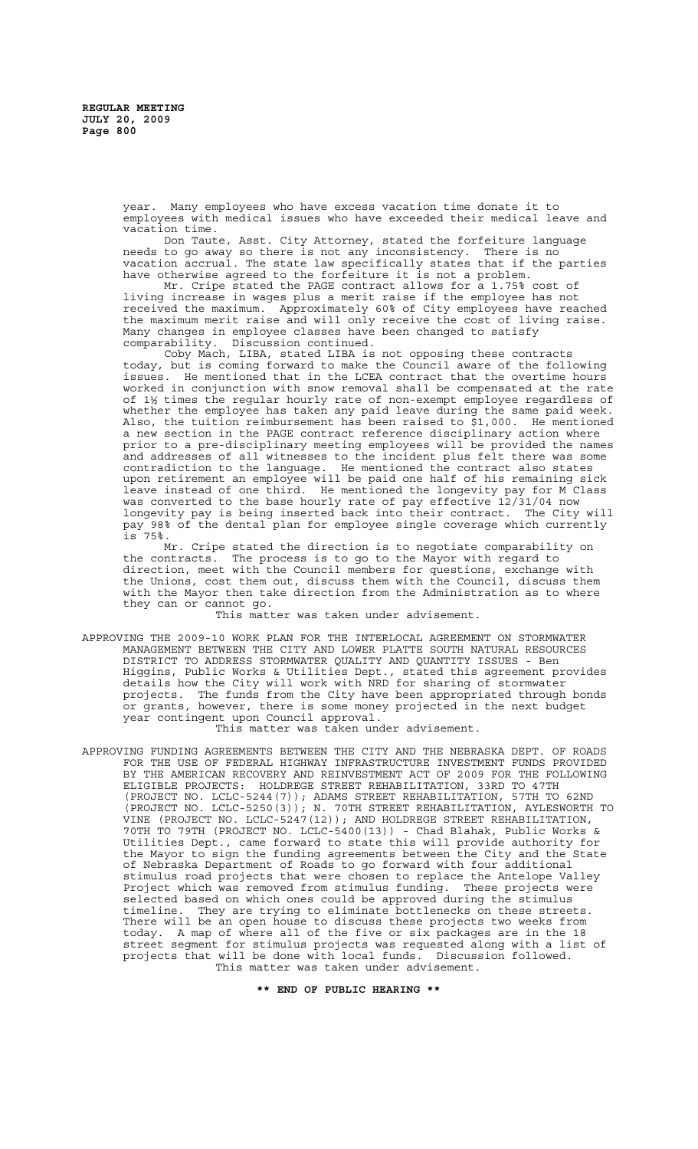year. Many employees who have excess vacation time donate it to employees with medical issues who have exceeded their medical leave and vacation time.

Don Taute, Asst. City Attorney, stated the forfeiture language needs to go away so there is not any inconsistency. There is no vacation accrual. The state law specifically states that if the parties have otherwise agreed to the forfeiture it is not a problem.

Mr. Cripe stated the PAGE contract allows for a 1.75% cost of living increase in wages plus a merit raise if the employee has not received the maximum. Approximately 60% of City employees have reached the maximum merit raise and will only receive the cost of living raise. Many changes in employee classes have been changed to satisfy comparability. Discussion continued.

Coby Mach, LIBA, stated LIBA is not opposing these contracts today, but is coming forward to make the Council aware of the following issues. He mentioned that in the LCEA contract that the overtime hours worked in conjunction with snow removal shall be compensated at the rate of 1½ times the regular hourly rate of non-exempt employee regardless of whether the employee has taken any paid leave during the same paid week. Also, the tuition reimbursement has been raised to \$1,000. He mentioned a new section in the PAGE contract reference disciplinary action where prior to a pre-disciplinary meeting employees will be provided the names and addresses of all witnesses to the incident plus felt there was some contradiction to the language. He mentioned the contract also states upon retirement an employee will be paid one half of his remaining sick leave instead of one third. He mentioned the longevity pay for M Class was converted to the base hourly rate of pay effective 12/31/04 now longevity pay is being inserted back into their contract. The City will pay 98% of the dental plan for employee single coverage which currently is 75%.

Mr. Cripe stated the direction is to negotiate comparability on the contracts. The process is to go to the Mayor with regard to direction, meet with the Council members for questions, exchange with the Unions, cost them out, discuss them with the Council, discuss them with the Mayor then take direction from the Administration as to where they can or cannot go.

This matter was taken under advisement.

APPROVING THE 2009-10 WORK PLAN FOR THE INTERLOCAL AGREEMENT ON STORMWATER MANAGEMENT BETWEEN THE CITY AND LOWER PLATTE SOUTH NATURAL RESOURCES DISTRICT TO ADDRESS STORMWATER QUALITY AND QUANTITY ISSUES - Ben Higgins, Public Works & Utilities Dept., stated this agreement provides details how the City will work with NRD for sharing of stormwater projects. The funds from the City have been appropriated through bonds or grants, however, there is some money projected in the next budget year contingent upon Council approval.

This matter was taken under advisement.

APPROVING FUNDING AGREEMENTS BETWEEN THE CITY AND THE NEBRASKA DEPT. OF ROADS FOR THE USE OF FEDERAL HIGHWAY INFRASTRUCTURE INVESTMENT FUNDS PROVIDED BY THE AMERICAN RECOVERY AND REINVESTMENT ACT OF 2009 FOR THE FOLLOWING<br>ELIGIBLE PROJECTS: HOLDREGE STREET REHABILITATION, 33RD TO 47TH HOLDREGE STREET REHABILITATION, 33RD TO 47TH (PROJECT NO. LCLC-5244(7)); ADAMS STREET REHABILITATION, 57TH TO 62ND (PROJECT NO. LCLC-5250(3)); N. 70TH STREET REHABILITATION, AYLESWORTH TO VINE (PROJECT NO. LCLC-5247(12)); AND HOLDREGE STREET REHABILITATION, 70TH TO 79TH (PROJECT NO. LCLC-5400(13)) - Chad Blahak, Public Works & Utilities Dept., came forward to state this will provide authority for the Mayor to sign the funding agreements between the City and the State of Nebraska Department of Roads to go forward with four additional stimulus road projects that were chosen to replace the Antelope Valley Project which was removed from stimulus funding. These projects were selected based on which ones could be approved during the stimulus timeline. They are trying to eliminate bottlenecks on these streets. There will be an open house to discuss these projects two weeks from today. A map of where all of the five or six packages are in the 18 street segment for stimulus projects was requested along with a list of projects that will be done with local funds. Discussion followed. This matter was taken under advisement.

**\*\* END OF PUBLIC HEARING \*\***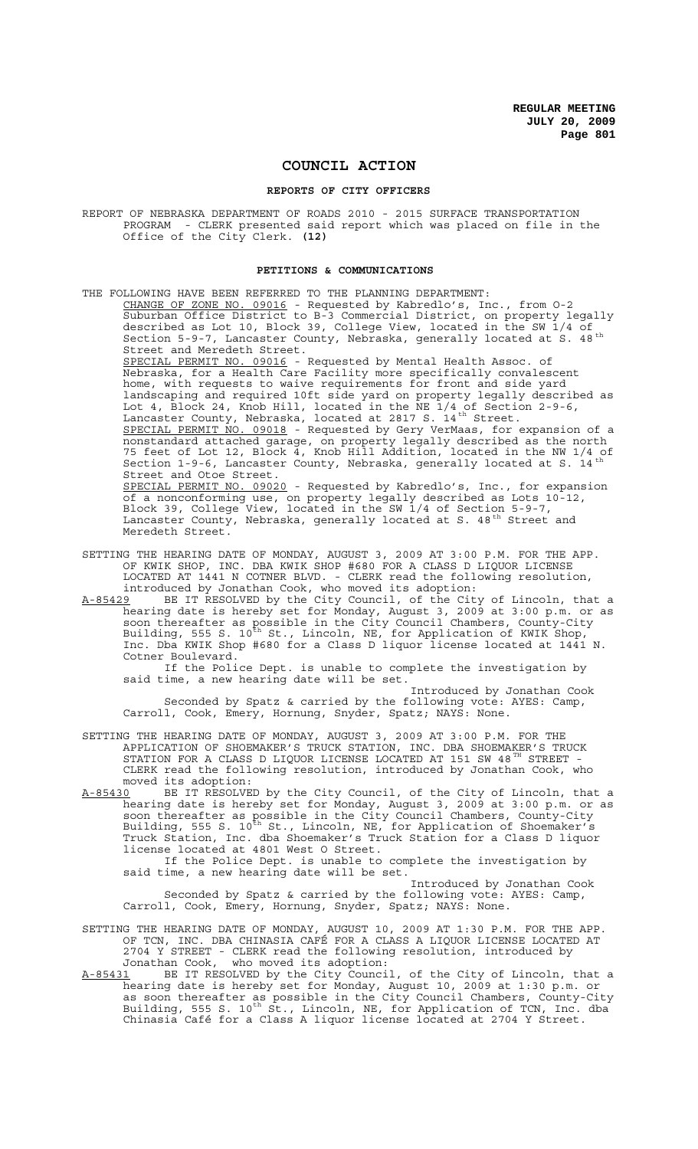# **COUNCIL ACTION**

### **REPORTS OF CITY OFFICERS**

REPORT OF NEBRASKA DEPARTMENT OF ROADS 2010 - 2015 SURFACE TRANSPORTATION PROGRAM - CLERK presented said report which was placed on file in the Office of the City Clerk. **(12)**

#### **PETITIONS & COMMUNICATIONS**

THE FOLLOWING HAVE BEEN REFERRED TO THE PLANNING DEPARTMENT: CHANGE OF ZONE NO. 09016 - Requested by Kabredlo's, Inc., from 0-2 Suburban Office District to B-3 Commercial District, on property legally described as Lot 10, Block 39, College View, located in the SW 1/4 of Section 5-9-7, Lancaster County, Nebraska, generally located at S. 48<sup>th</sup> Street and Meredeth Street. SPECIAL PERMIT NO. 09016 - Requested by Mental Health Assoc. of Nebraska, for a Health Care Facility more specifically convalescent home, with requests to waive requirements for front and side yard landscaping and required 10ft side yard on property legally described as Lot 4, Block 24, Knob Hill, located in the NE 1/4 of Section 2-9-6, Lancaster County, Nebraska, located at 2817 S.  $14^{th}$  Street. SPECIAL PERMIT NO. 09018 - Requested by Gery VerMaas, for expansion of a nonstandard attached garage, on property legally described as the north 75 feet of Lot 12, Block 4, Knob Hill Addition, located in the NW 1/4 of Section 1-9-6, Lancaster County, Nebraska, generally located at S. 14<sup>th</sup> Street and Otoe Street. SPECIAL PERMIT NO. 09020 - Requested by Kabredlo's, Inc., for expansion of a nonconforming use, on property legally described as Lots 10-12, Block 39, College View, located in the SW 1/4 of Section 5-9-7, Lancaster County, Nebraska, generally located at S. 48<sup>th</sup> Street and Meredeth Street.

- SETTING THE HEARING DATE OF MONDAY, AUGUST 3, 2009 AT 3:00 P.M. FOR THE APP. OF KWIK SHOP, INC. DBA KWIK SHOP #680 FOR A CLASS D LIQUOR LICENSE LOCATED AT 1441 N COTNER BLVD. - CLERK read the following resolution, introduced by Jonathan Cook, who moved its adoption:
- A-85429 BE IT RESOLVED by the City Council, of the City of Lincoln, that a hearing date is hereby set for Monday, August 3, 2009 at 3:00 p.m. or as soon thereafter as possible in the City Council Chambers, County-City Building, 555 S. 10<sup>th</sup> St., Lincoln, NE, for Application of KWIK Shop, Inc. Dba KWIK Shop #680 for a Class D liquor license located at 1441 N. Cotner Boulevard.

If the Police Dept. is unable to complete the investigation by said time, a new hearing date will be set.

Introduced by Jonathan Cook Seconded by Spatz & carried by the following vote: AYES: Camp, Carroll, Cook, Emery, Hornung, Snyder, Spatz; NAYS: None.

SETTING THE HEARING DATE OF MONDAY, AUGUST 3, 2009 AT 3:00 P.M. FOR THE APPLICATION OF SHOEMAKER'S TRUCK STATION, INC. DBA SHOEMAKER'S TRUCK STATION FOR A CLASS D LIQUOR LICENSE LOCATED AT 151 SW 48 $^{\text{\tiny{\text{TH}}}}$  STREET -CLERK read the following resolution, introduced by Jonathan Cook, who moved its adoption:<br>A-85430 BE IT RESOLVE

BE IT RESOLVED by the City Council, of the City of Lincoln, that a hearing date is hereby set for Monday, August 3, 2009 at 3:00 p.m. or as soon thereafter as possible in the City Council Chambers, County-City Building, 555 S. 10<sup>th</sup> St., Lincoln, NE, for Application of Shoemaker's Truck Station, Inc. dba Shoemaker's Truck Station for a Class D liquor license located at 4801 West O Street.

If the Police Dept. is unable to complete the investigation by said time, a new hearing date will be set.

Introduced by Jonathan Cook Seconded by Spatz & carried by the following vote: AYES: Camp, Carroll, Cook, Emery, Hornung, Snyder, Spatz; NAYS: None.

SETTING THE HEARING DATE OF MONDAY, AUGUST 10, 2009 AT 1:30 P.M. FOR THE APP. OF TCN, INC. DBA CHINASIA CAFÉ FOR A CLASS A LIQUOR LICENSE LOCATED AT 2704 Y STREET - CLERK read the following resolution, introduced by Jonathan Cook, who moved its adoption:

A-85431 BE IT RESOLVED by the City Council, of the City of Lincoln, that a hearing date is hereby set for Monday, August 10, 2009 at 1:30 p.m. or as soon thereafter as possible in the City Council Chambers, County-City Building, 555 S. 10<sup>th</sup> St., Lincoln, NE, for Application of TCN, Inc. dba Chinasia Café for a Class A liquor license located at 2704 Y Street.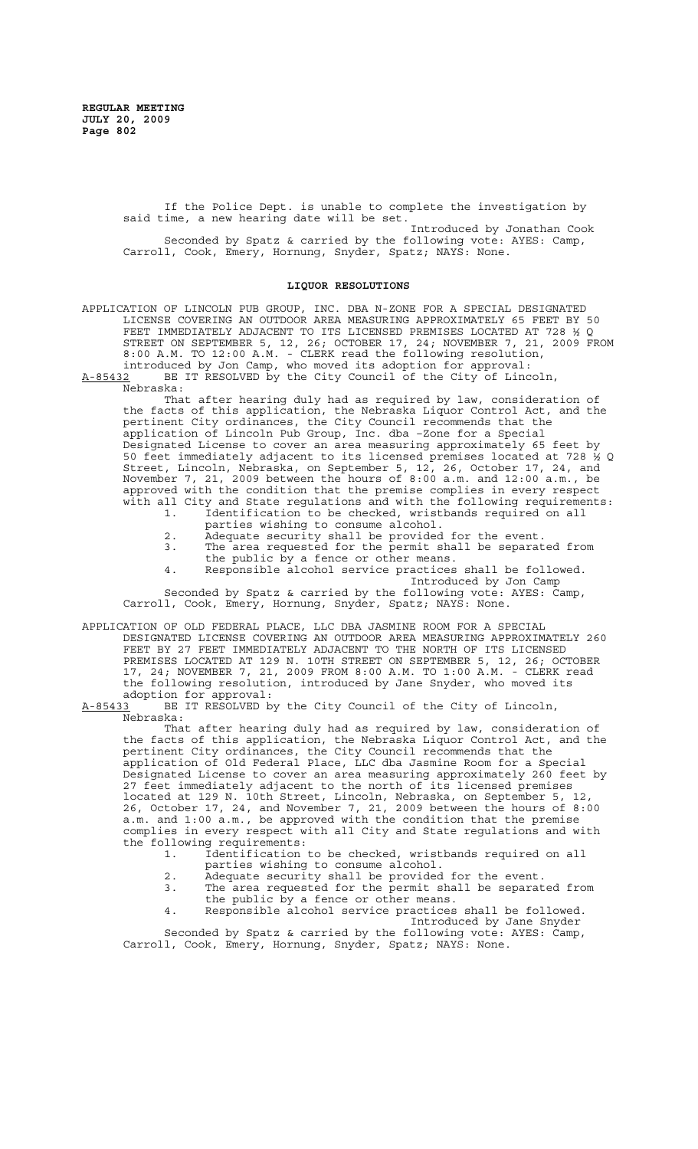If the Police Dept. is unable to complete the investigation by said time, a new hearing date will be set.

Introduced by Jonathan Cook Seconded by Spatz & carried by the following vote: AYES: Camp, Carroll, Cook, Emery, Hornung, Snyder, Spatz; NAYS: None.

#### **LIQUOR RESOLUTIONS**

APPLICATION OF LINCOLN PUB GROUP, INC. DBA N-ZONE FOR A SPECIAL DESIGNATED LICENSE COVERING AN OUTDOOR AREA MEASURING APPROXIMATELY 65 FEET BY 50 FEET IMMEDIATELY ADJACENT TO ITS LICENSED PREMISES LOCATED AT 728 ½ Q STREET ON SEPTEMBER 5, 12, 26; OCTOBER 17, 24; NOVEMBER 7, 21, 2009 FROM 8:00 A.M. TO 12:00 A.M. - CLERK read the following resolution, introduced by Jon Camp, who moved its adoption for approval:

A-85432 BE IT RESOLVED by the City Council of the City of Lincoln, Nebraska:

That after hearing duly had as required by law, consideration of the facts of this application, the Nebraska Liquor Control Act, and the pertinent City ordinances, the City Council recommends that the application of Lincoln Pub Group, Inc. dba –Zone for a Special Designated License to cover an area measuring approximately 65 feet by 50 feet immediately adjacent to its licensed premises located at 728 ½ Q Street, Lincoln, Nebraska, on September 5, 12, 26, October 17, 24, and November 7, 21, 2009 between the hours of 8:00 a.m. and 12:00 a.m., be approved with the condition that the premise complies in every respect with all City and State regulations and with the following requirements:<br>1. Identification to be checked, wristbands required on all 1. Identification to be checked, wristbands required on all

- parties wishing to consume alcohol.
- 
- 2. Adequate security shall be provided for the event.<br>3. The area requested for the permit shall be separat The area requested for the permit shall be separated from the public by a fence or other means.
- 4. Responsible alcohol service practices shall be followed. Introduced by Jon Camp Seconded by Spatz & carried by the following vote: AYES: Camp,

Carroll, Cook, Emery, Hornung, Snyder, Spatz; NAYS: None.

APPLICATION OF OLD FEDERAL PLACE, LLC DBA JASMINE ROOM FOR A SPECIAL DESIGNATED LICENSE COVERING AN OUTDOOR AREA MEASURING APPROXIMATELY 260 FEET BY 27 FEET IMMEDIATELY ADJACENT TO THE NORTH OF ITS LICENSED PREMISES LOCATED AT 129 N. 10TH STREET ON SEPTEMBER 5, 12, 26; OCTOBER 17, 24; NOVEMBER 7, 21, 2009 FROM 8:00 A.M. TO 1:00 A.M. - CLERK read the following resolution, introduced by Jane Snyder, who moved its

adoption for approval:<br>A-85433 BE IT RESOLVED by BE IT RESOLVED by the City Council of the City of Lincoln, Nebraska:

That after hearing duly had as required by law, consideration of the facts of this application, the Nebraska Liquor Control Act, and the pertinent City ordinances, the City Council recommends that the application of Old Federal Place, LLC dba Jasmine Room for a Special Designated License to cover an area measuring approximately 260 feet by 27 feet immediately adjacent to the north of its licensed premises located at 129 N. 10th Street, Lincoln, Nebraska, on September 5, 12, 26, October 17, 24, and November 7, 21, 2009 between the hours of 8:00 a.m. and 1:00 a.m., be approved with the condition that the premise complies in every respect with all City and State regulations and with the following requirements:<br>1. Identification

- 1. Identification to be checked, wristbands required on all parties wishing to consume alcohol.
- 
- 2. Adequate security shall be provided for the event.<br>3. The area requested for the permit shall be separat The area requested for the permit shall be separated from
- the public by a fence or other means.
- 4. Responsible alcohol service practices shall be followed. Introduced by Jane Snyder

Seconded by Spatz & carried by the following vote: AYES: Camp, Carroll, Cook, Emery, Hornung, Snyder, Spatz; NAYS: None.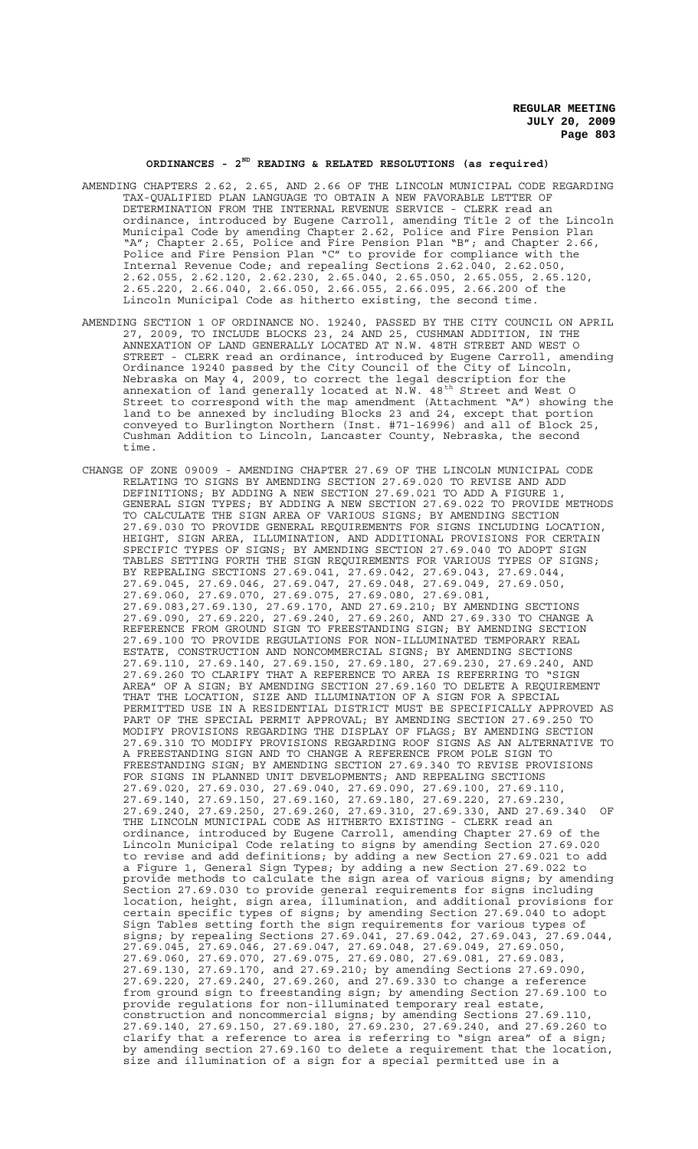# **ORDINANCES - 2ND READING & RELATED RESOLUTIONS (as required)**

- AMENDING CHAPTERS 2.62, 2.65, AND 2.66 OF THE LINCOLN MUNICIPAL CODE REGARDING TAX-QUALIFIED PLAN LANGUAGE TO OBTAIN A NEW FAVORABLE LETTER OF DETERMINATION FROM THE INTERNAL REVENUE SERVICE - CLERK read an ordinance, introduced by Eugene Carroll, amending Title 2 of the Lincoln Municipal Code by amending Chapter 2.62, Police and Fire Pension Plan "A"; Chapter 2.65, Police and Fire Pension Plan "B"; and Chapter 2.66, Police and Fire Pension Plan "C" to provide for compliance with the Internal Revenue Code; and repealing Sections 2.62.040, 2.62.050, 2.62.055, 2.62.120, 2.62.230, 2.65.040, 2.65.050, 2.65.055, 2.65.120, 2.65.220, 2.66.040, 2.66.050, 2.66.055, 2.66.095, 2.66.200 of the Lincoln Municipal Code as hitherto existing, the second time.
- AMENDING SECTION 1 OF ORDINANCE NO. 19240, PASSED BY THE CITY COUNCIL ON APRIL 27, 2009, TO INCLUDE BLOCKS 23, 24 AND 25, CUSHMAN ADDITION, IN THE ANNEXATION OF LAND GENERALLY LOCATED AT N.W. 48TH STREET AND WEST O STREET - CLERK read an ordinance, introduced by Eugene Carroll, amending Ordinance 19240 passed by the City Council of the City of Lincoln, Nebraska on May 4, 2009, to correct the legal description for the annexation of land generally located at N.W. 48<sup>th</sup> Street and West O Street to correspond with the map amendment (Attachment "A") showing the land to be annexed by including Blocks 23 and 24, except that portion conveyed to Burlington Northern (Inst. #71-16996) and all of Block 25, Cushman Addition to Lincoln, Lancaster County, Nebraska, the second time.
- CHANGE OF ZONE 09009 AMENDING CHAPTER 27.69 OF THE LINCOLN MUNICIPAL CODE RELATING TO SIGNS BY AMENDING SECTION 27.69.020 TO REVISE AND ADD DEFINITIONS; BY ADDING A NEW SECTION 27.69.021 TO ADD A FIGURE 1, GENERAL SIGN TYPES; BY ADDING A NEW SECTION 27.69.022 TO PROVIDE METHODS TO CALCULATE THE SIGN AREA OF VARIOUS SIGNS; BY AMENDING SECTION 27.69.030 TO PROVIDE GENERAL REQUIREMENTS FOR SIGNS INCLUDING LOCATION, HEIGHT, SIGN AREA, ILLUMINATION, AND ADDITIONAL PROVISIONS FOR CERTAIN SPECIFIC TYPES OF SIGNS; BY AMENDING SECTION 27.69.040 TO ADOPT SIGN TABLES SETTING FORTH THE SIGN REQUIREMENTS FOR VARIOUS TYPES OF SIGNS; BY REPEALING SECTIONS 27.69.041, 27.69.042, 27.69.043, 27.69.044, 27.69.045, 27.69.046, 27.69.047, 27.69.048, 27.69.049, 27.69.050, 27.69.060, 27.69.070, 27.69.075, 27.69.080, 27.69.081, 27.69.083,27.69.130, 27.69.170, AND 27.69.210; BY AMENDING SECTIONS 27.69.090, 27.69.220, 27.69.240, 27.69.260, AND 27.69.330 TO CHANGE A REFERENCE FROM GROUND SIGN TO FREESTANDING SIGN; BY AMENDING SECTION 27.69.100 TO PROVIDE REGULATIONS FOR NON-ILLUMINATED TEMPORARY REAL ESTATE, CONSTRUCTION AND NONCOMMERCIAL SIGNS; BY AMENDING SECTIONS 27.69.110, 27.69.140, 27.69.150, 27.69.180, 27.69.230, 27.69.240, AND 27.69.260 TO CLARIFY THAT A REFERENCE TO AREA IS REFERRING TO "SIGN AREA" OF A SIGN; BY AMENDING SECTION 27.69.160 TO DELETE A REQUIREMENT THAT THE LOCATION, SIZE AND ILLUMINATION OF A SIGN FOR A SPECIAL PERMITTED USE IN A RESIDENTIAL DISTRICT MUST BE SPECIFICALLY APPROVED AS PART OF THE SPECIAL PERMIT APPROVAL; BY AMENDING SECTION 27.69.250 TO MODIFY PROVISIONS REGARDING THE DISPLAY OF FLAGS; BY AMENDING SECTION 27.69.310 TO MODIFY PROVISIONS REGARDING ROOF SIGNS AS AN ALTERNATIVE TO A FREESTANDING SIGN AND TO CHANGE A REFERENCE FROM POLE SIGN TO FREESTANDING SIGN; BY AMENDING SECTION 27.69.340 TO REVISE PROVISIONS FOR SIGNS IN PLANNED UNIT DEVELOPMENTS; AND REPEALING SECTIONS 27.69.020, 27.69.030, 27.69.040, 27.69.090, 27.69.100, 27.69.110, 27.69.140, 27.69.150, 27.69.160, 27.69.180, 27.69.220, 27.69.230, 27.69.240, 27.69.250, 27.69.260, 27.69.310, 27.69.330, AND 27.69.340 OF THE LINCOLN MUNICIPAL CODE AS HITHERTO EXISTING - CLERK read an ordinance, introduced by Eugene Carroll, amending Chapter 27.69 of the Lincoln Municipal Code relating to signs by amending Section 27.69.020 to revise and add definitions; by adding a new Section 27.69.021 to add a Figure 1, General Sign Types; by adding a new Section 27.69.022 to provide methods to calculate the sign area of various signs; by amending Section 27.69.030 to provide general requirements for signs including location, height, sign area, illumination, and additional provisions for certain specific types of signs; by amending Section 27.69.040 to adopt Sign Tables setting forth the sign requirements for various types of signs; by repealing Sections 27.69.041, 27.69.042, 27.69.043, 27.69.044, 27.69.045, 27.69.046, 27.69.047, 27.69.048, 27.69.049, 27.69.050, 27.69.060, 27.69.070, 27.69.075, 27.69.080, 27.69.081, 27.69.083, 27.69.130, 27.69.170, and 27.69.210; by amending Sections 27.69.090, 27.69.220, 27.69.240, 27.69.260, and 27.69.330 to change a reference from ground sign to freestanding sign; by amending Section 27.69.100 to provide regulations for non-illuminated temporary real estate, construction and noncommercial signs; by amending Sections 27.69.110, 27.69.140, 27.69.150, 27.69.180, 27.69.230, 27.69.240, and 27.69.260 to clarify that a reference to area is referring to "sign area" of a sign; by amending section 27.69.160 to delete a requirement that the location, size and illumination of a sign for a special permitted use in a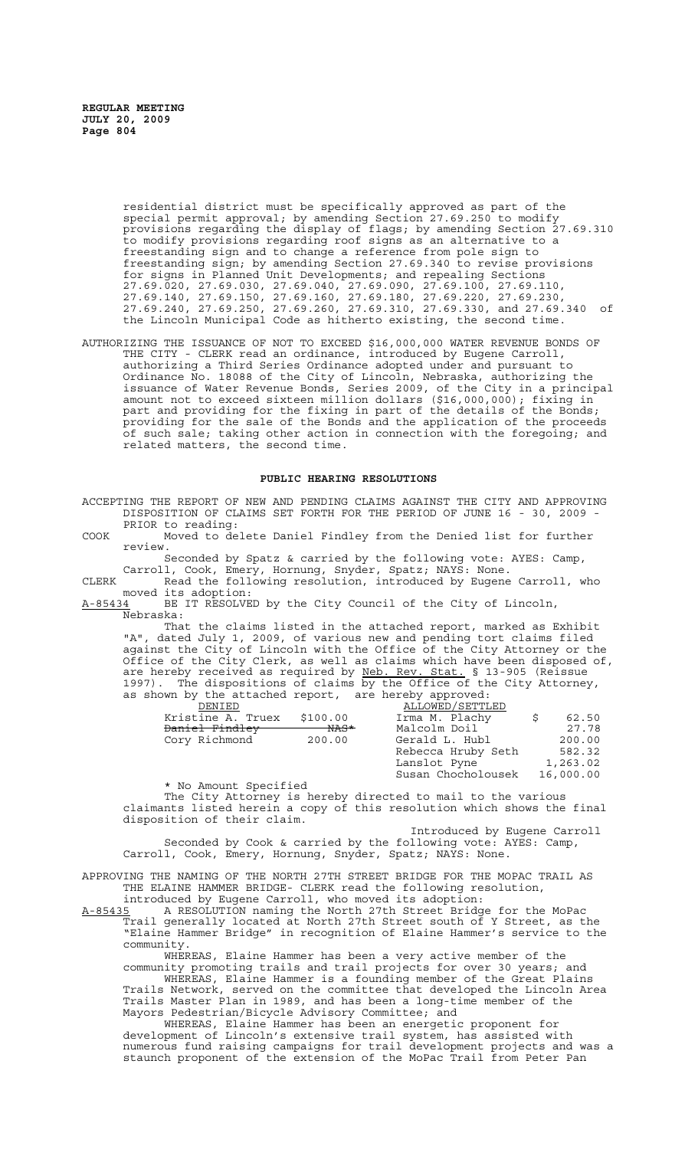> residential district must be specifically approved as part of the special permit approval; by amending Section 27.69.250 to modify provisions regarding the display of flags; by amending Section 27.69.310 to modify provisions regarding roof signs as an alternative to a freestanding sign and to change a reference from pole sign to freestanding sign; by amending Section 27.69.340 to revise provisions for signs in Planned Unit Developments; and repealing Sections 27.69.020, 27.69.030, 27.69.040, 27.69.090, 27.69.100, 27.69.110, 27.69.140, 27.69.150, 27.69.160, 27.69.180, 27.69.220, 27.69.230, 27.69.240, 27.69.250, 27.69.260, 27.69.310, 27.69.330, and 27.69.340 of the Lincoln Municipal Code as hitherto existing, the second time.

AUTHORIZING THE ISSUANCE OF NOT TO EXCEED \$16,000,000 WATER REVENUE BONDS OF THE CITY - CLERK read an ordinance, introduced by Eugene Carroll, authorizing a Third Series Ordinance adopted under and pursuant to Ordinance No. 18088 of the City of Lincoln, Nebraska, authorizing the issuance of Water Revenue Bonds, Series 2009, of the City in a principal amount not to exceed sixteen million dollars (\$16,000,000); fixing in part and providing for the fixing in part of the details of the Bonds; providing for the sale of the Bonds and the application of the proceeds of such sale; taking other action in connection with the foregoing; and related matters, the second time.

#### **PUBLIC HEARING RESOLUTIONS**

ACCEPTING THE REPORT OF NEW AND PENDING CLAIMS AGAINST THE CITY AND APPROVING DISPOSITION OF CLAIMS SET FORTH FOR THE PERIOD OF JUNE 16 - 30, 2009 - PRIOR to reading:

COOK Moved to delete Daniel Findley from the Denied list for further review.

Seconded by Spatz & carried by the following vote: AYES: Camp, Carroll, Cook, Emery, Hornung, Snyder, Spatz; NAYS: None.

CLERK Read the following resolution, introduced by Eugene Carroll, who moved its adoption:

A-85434 BE IT RESOLVED by the City Council of the City of Lincoln, Nebraska:<br>That the claims listed in the attached report, marked as Exhibit

That the claims listed in the attached report, marked as Exhibit "A", dated July 1, 2009, of various new and pending tort claims filed against the City of Lincoln with the Office of the City Attorney or the Office of the City Clerk, as well as claims which have been disposed of, are hereby received as required by Neb. Rev. Stat. § 13-905 (Reissue 1997). The dispositions of claims by the Office of the City Attorney, as shown by the attached report, are hereby approved:

| DENIED            |          |                  |
|-------------------|----------|------------------|
| Kristine A. Truex | \$100.00 | Irma M. Plachy   |
| Daniel Findley    | NAS*     | Malcolm Doil     |
| Cory Richmond     | 200.00   | Gerald L. Hubl   |
|                   |          | Rebecca Hruby Se |

| DENTED                    |          | ALLOWED / SETTLED  |           |
|---------------------------|----------|--------------------|-----------|
| Kristine A. Truex         | \$100.00 | Irma M. Plachy     | 62.50     |
| <del>Daniel Findley</del> | NAS*     | Malcolm Doil       | 27.78     |
| Cory Richmond             | 200.00   | Gerald L. Hubl     | 200.00    |
|                           |          | Rebecca Hruby Seth | 582.32    |
|                           |          | Lanslot Pyne       | 1,263.02  |
|                           |          | Susan Chocholousek | 16,000.00 |
|                           |          |                    |           |

\* No Amount Specified The City Attorney is hereby directed to mail to the various claimants listed herein a copy of this resolution which shows the final disposition of their claim.

Introduced by Eugene Carroll Seconded by Cook & carried by the following vote: AYES: Camp, Carroll, Cook, Emery, Hornung, Snyder, Spatz; NAYS: None.

APPROVING THE NAMING OF THE NORTH 27TH STREET BRIDGE FOR THE MOPAC TRAIL AS THE ELAINE HAMMER BRIDGE- CLERK read the following resolution, introduced by Eugene Carroll, who moved its adoption:

A-85435 A RESOLUTION naming the North 27th Street Bridge for the MoPac A-85435 A RESOLUTION naming the North 27th Street Bridge for the MoPac<br>Trail generally located at North 27th Street south of Y Street, as the "Elaine Hammer Bridge" in recognition of Elaine Hammer's service to the community.

WHEREAS, Elaine Hammer has been a very active member of the community promoting trails and trail projects for over 30 years; and WHEREAS, Elaine Hammer is a founding member of the Great Plains

Trails Network, served on the committee that developed the Lincoln Area Trails Master Plan in 1989, and has been a long-time member of the Mayors Pedestrian/Bicycle Advisory Committee; and

WHEREAS, Elaine Hammer has been an energetic proponent for development of Lincoln's extensive trail system, has assisted with numerous fund raising campaigns for trail development projects and was a staunch proponent of the extension of the MoPac Trail from Peter Pan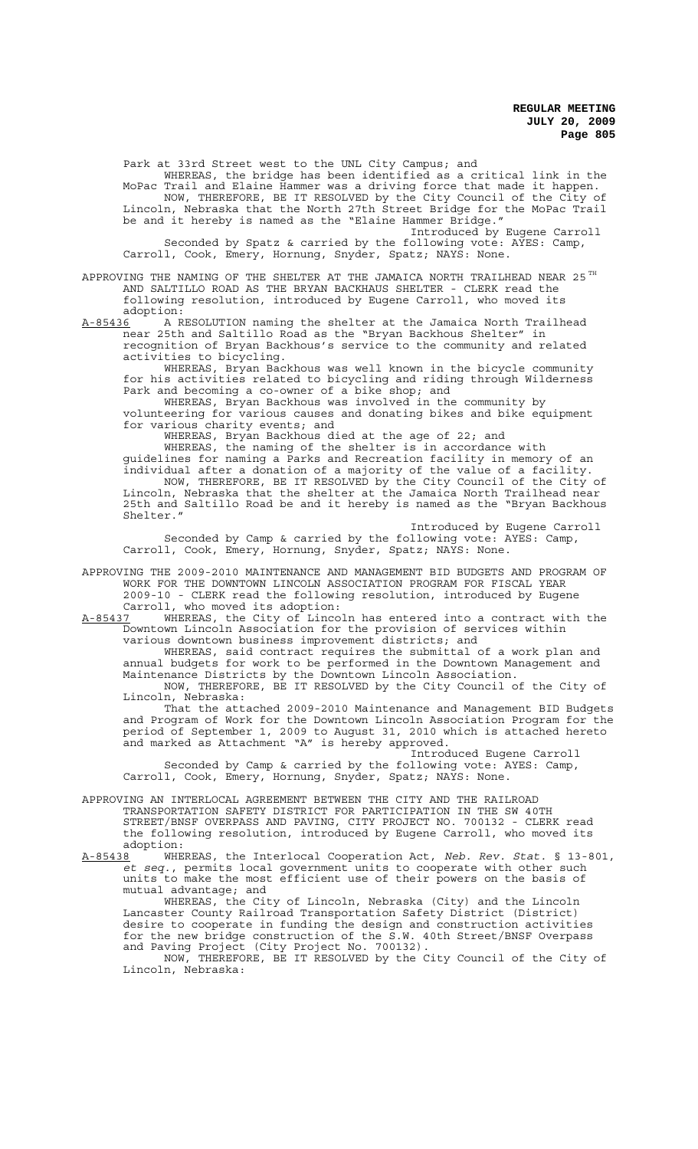Park at 33rd Street west to the UNL City Campus; and WHEREAS, the bridge has been identified as a critical link in the MoPac Trail and Elaine Hammer was a driving force that made it happen. NOW, THEREFORE, BE IT RESOLVED by the City Council of the City of Lincoln, Nebraska that the North 27th Street Bridge for the MoPac Trail be and it hereby is named as the "Elaine Hammer Bridge." Introduced by Eugene Carroll

Seconded by Spatz & carried by the following vote: AYES: Camp, Carroll, Cook, Emery, Hornung, Snyder, Spatz; NAYS: None.

APPROVING THE NAMING OF THE SHELTER AT THE JAMAICA NORTH TRAILHEAD NEAR 25  $^{TH}$ AND SALTILLO ROAD AS THE BRYAN BACKHAUS SHELTER - CLERK read the following resolution, introduced by Eugene Carroll, who moved its

adoption:<br>A-85436 A R A-85436 A RESOLUTION naming the shelter at the Jamaica North Trailhead near 25th and Saltillo Road as the "Bryan Backhous Shelter" in recognition of Bryan Backhous's service to the community and related activities to bicycling.

WHEREAS, Bryan Backhous was well known in the bicycle community for his activities related to bicycling and riding through Wilderness Park and becoming a co-owner of a bike shop; and

WHEREAS, Bryan Backhous was involved in the community by volunteering for various causes and donating bikes and bike equipment for various charity events; and

WHEREAS, Bryan Backhous died at the age of 22; and

WHEREAS, the naming of the shelter is in accordance with guidelines for naming a Parks and Recreation facility in memory of an individual after a donation of a majority of the value of a facility. NOW, THEREFORE, BE IT RESOLVED by the City Council of the City of Lincoln, Nebraska that the shelter at the Jamaica North Trailhead near 25th and Saltillo Road be and it hereby is named as the "Bryan Backhous Shelter."

Introduced by Eugene Carroll Seconded by Camp & carried by the following vote: AYES: Camp, Carroll, Cook, Emery, Hornung, Snyder, Spatz; NAYS: None.

APPROVING THE 2009-2010 MAINTENANCE AND MANAGEMENT BID BUDGETS AND PROGRAM OF WORK FOR THE DOWNTOWN LINCOLN ASSOCIATION PROGRAM FOR FISCAL YEAR 2009-10 - CLERK read the following resolution, introduced by Eugene Carroll, who moved its adoption:

A-85437 WHEREAS, the City of Lincoln has entered into a contract with the Downtown Lincoln Association for the provision of services within various downtown business improvement districts; and

WHEREAS, said contract requires the submittal of a work plan and annual budgets for work to be performed in the Downtown Management and Maintenance Districts by the Downtown Lincoln Association. NOW, THEREFORE, BE IT RESOLVED by the City Council of the City of

Lincoln, Nebraska: That the attached 2009-2010 Maintenance and Management BID Budgets and Program of Work for the Downtown Lincoln Association Program for the period of September 1, 2009 to August 31, 2010 which is attached hereto and marked as Attachment "A" is hereby approved.

Introduced Eugene Carroll

Seconded by Camp & carried by the following vote: AYES: Camp, Carroll, Cook, Emery, Hornung, Snyder, Spatz; NAYS: None.

APPROVING AN INTERLOCAL AGREEMENT BETWEEN THE CITY AND THE RAILROAD TRANSPORTATION SAFETY DISTRICT FOR PARTICIPATION IN THE SW 40TH STREET/BNSF OVERPASS AND PAVING, CITY PROJECT NO. 700132 - CLERK read the following resolution, introduced by Eugene Carroll, who moved its adoption:

A-85438 WHEREAS, the Interlocal Cooperation Act, *Neb. Rev. Stat.* § 13-801, *et seq.*, permits local government units to cooperate with other such units to make the most efficient use of their powers on the basis of mutual advantage; and

WHEREAS, the City of Lincoln, Nebraska (City) and the Lincoln Lancaster County Railroad Transportation Safety District (District) desire to cooperate in funding the design and construction activities for the new bridge construction of the S.W. 40th Street/BNSF Overpass and Paving Project (City Project No. 700132).

NOW, THEREFORE, BE IT RESOLVED by the City Council of the City of Lincoln, Nebraska: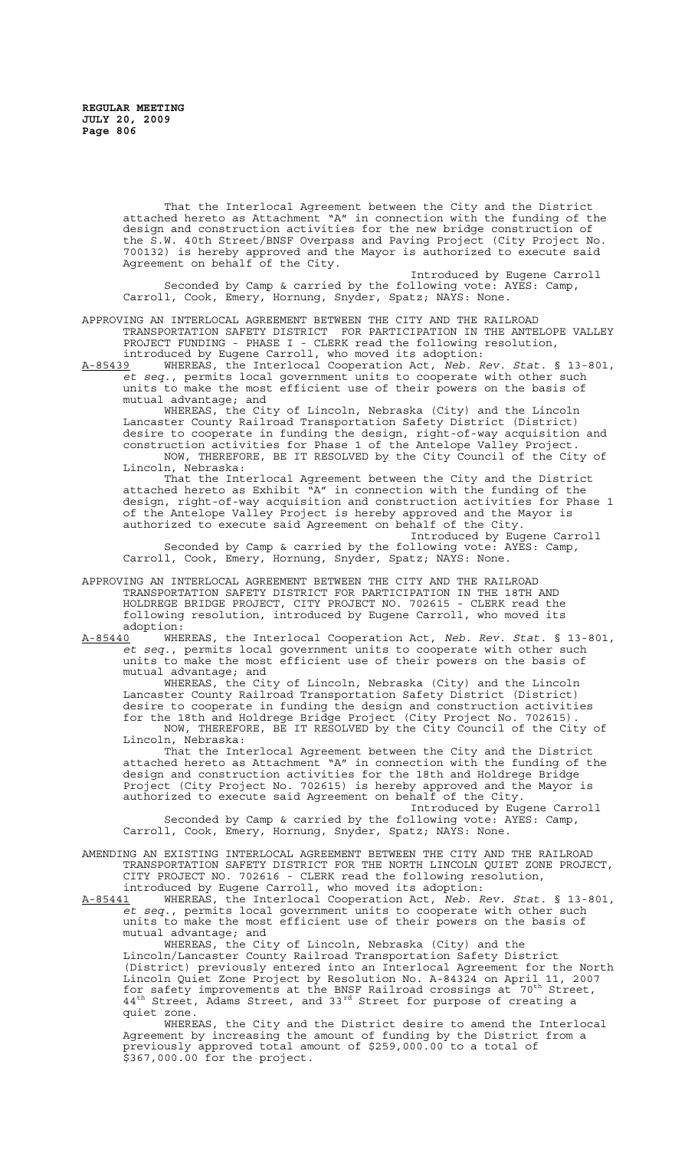That the Interlocal Agreement between the City and the District attached hereto as Attachment "A" in connection with the funding of the design and construction activities for the new bridge construction of the S.W. 40th Street/BNSF Overpass and Paving Project (City Project No. 700132) is hereby approved and the Mayor is authorized to execute said Agreement on behalf of the City.

Introduced by Eugene Carroll Seconded by Camp & carried by the following vote: AYES: Camp, Carroll, Cook, Emery, Hornung, Snyder, Spatz; NAYS: None.

APPROVING AN INTERLOCAL AGREEMENT BETWEEN THE CITY AND THE RAILROAD TRANSPORTATION SAFETY DISTRICT FOR PARTICIPATION IN THE ANTELOPE VALLEY PROJECT FUNDING - PHASE I - CLERK read the following resolution, introduced by Eugene Carroll, who moved its adoption:

A-85439 WHEREAS, the Interlocal Cooperation Act, *Neb. Rev. Stat.* § 13-801, *et seq.*, permits local government units to cooperate with other such units to make the most efficient use of their powers on the basis of mutual advantage; and

WHEREAS, the City of Lincoln, Nebraska (City) and the Lincoln Lancaster County Railroad Transportation Safety District (District) desire to cooperate in funding the design, right-of-way acquisition and construction activities for Phase 1 of the Antelope Valley Project. NOW, THEREFORE, BE IT RESOLVED by the City Council of the City of Lincoln, Nebraska:

That the Interlocal Agreement between the City and the District attached hereto as Exhibit "A" in connection with the funding of the design, right-of-way acquisition and construction activities for Phase 1 of the Antelope Valley Project is hereby approved and the Mayor is authorized to execute said Agreement on behalf of the City.

Introduced by Eugene Carroll Seconded by Camp & carried by the following vote: AYES: Camp, Carroll, Cook, Emery, Hornung, Snyder, Spatz; NAYS: None.

APPROVING AN INTERLOCAL AGREEMENT BETWEEN THE CITY AND THE RAILROAD TRANSPORTATION SAFETY DISTRICT FOR PARTICIPATION IN THE 18TH AND HOLDREGE BRIDGE PROJECT, CITY PROJECT NO. 702615 - CLERK read the following resolution, introduced by Eugene Carroll, who moved its adoption:<br><u>A-85440</u> WHE

A-85440 WHEREAS, the Interlocal Cooperation Act, *Neb. Rev. Stat.* § 13-801, *et seq.*, permits local government units to cooperate with other such units to make the most efficient use of their powers on the basis of mutual advantage; and

WHEREAS, the City of Lincoln, Nebraska (City) and the Lincoln Lancaster County Railroad Transportation Safety District (District) desire to cooperate in funding the design and construction activities for the 18th and Holdrege Bridge Project (City Project No. 702615). NOW, THEREFORE, BE IT RESOLVED by the City Council of the City of Lincoln, Nebraska:

That the Interlocal Agreement between the City and the District attached hereto as Attachment "A" in connection with the funding of the design and construction activities for the 18th and Holdrege Bridge Project (City Project No. 702615) is hereby approved and the Mayor is authorized to execute said Agreement on behalf of the City.

Introduced by Eugene Carroll Seconded by Camp & carried by the following vote: AYES: Camp, Carroll, Cook, Emery, Hornung, Snyder, Spatz; NAYS: None.

AMENDING AN EXISTING INTERLOCAL AGREEMENT BETWEEN THE CITY AND THE RAILROAD TRANSPORTATION SAFETY DISTRICT FOR THE NORTH LINCOLN QUIET ZONE PROJECT, CITY PROJECT NO. 702616 - CLERK read the following resolution, introduced by Eugene Carroll, who moved its adoption:

A-85441 WHEREAS, the Interlocal Cooperation Act, *Neb. Rev. Stat.* § 13-801, *et seq.*, permits local government units to cooperate with other such units to make the most efficient use of their powers on the basis of mutual advantage; and

WHEREAS, the City of Lincoln, Nebraska (City) and the Lincoln/Lancaster County Railroad Transportation Safety District (District) previously entered into an Interlocal Agreement for the North Lincoln Quiet Zone Project by Resolution No. A-84324 on April 11, 2007 for safety improvements at the BNSF Railroad crossings at  $70^{th}$  Street,  $44<sup>th</sup>$  Street, Adams Street, and 33<sup>rd</sup> Street for purpose of creating a quiet zone.

WHEREAS, the City and the District desire to amend the Interlocal Agreement by increasing the amount of funding by the District from a previously approved total amount of \$259,000.00 to a total of \$367,000.00 for the project.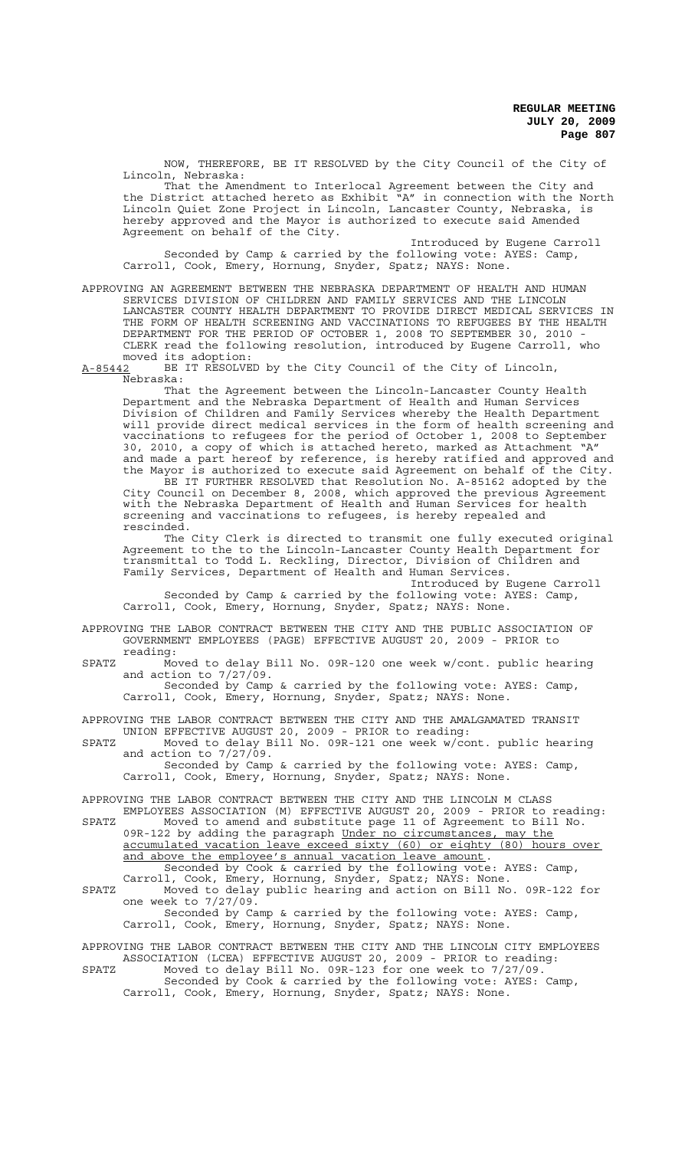NOW, THEREFORE, BE IT RESOLVED by the City Council of the City of Lincoln, Nebraska:

That the Amendment to Interlocal Agreement between the City and the District attached hereto as Exhibit "A" in connection with the North Lincoln Quiet Zone Project in Lincoln, Lancaster County, Nebraska, is hereby approved and the Mayor is authorized to execute said Amended Agreement on behalf of the City.

Introduced by Eugene Carroll Seconded by Camp & carried by the following vote: AYES: Camp, Carroll, Cook, Emery, Hornung, Snyder, Spatz; NAYS: None.

APPROVING AN AGREEMENT BETWEEN THE NEBRASKA DEPARTMENT OF HEALTH AND HUMAN SERVICES DIVISION OF CHILDREN AND FAMILY SERVICES AND THE LINCOLN LANCASTER COUNTY HEALTH DEPARTMENT TO PROVIDE DIRECT MEDICAL SERVICES IN THE FORM OF HEALTH SCREENING AND VACCINATIONS TO REFUGEES BY THE HEALTH DEPARTMENT FOR THE PERIOD OF OCTOBER 1, 2008 TO SEPTEMBER 30, 2010 - CLERK read the following resolution, introduced by Eugene Carroll, who moved its adoption:

A-85442 BE IT RESOLVED by the City Council of the City of Lincoln, Nebraska:

That the Agreement between the Lincoln-Lancaster County Health Department and the Nebraska Department of Health and Human Services Division of Children and Family Services whereby the Health Department will provide direct medical services in the form of health screening and vaccinations to refugees for the period of October 1, 2008 to September 30, 2010, a copy of which is attached hereto, marked as Attachment "A" and made a part hereof by reference, is hereby ratified and approved and the Mayor is authorized to execute said Agreement on behalf of the City.

BE IT FURTHER RESOLVED that Resolution No. A-85162 adopted by the City Council on December 8, 2008, which approved the previous Agreement with the Nebraska Department of Health and Human Services for health screening and vaccinations to refugees, is hereby repealed and rescinded.

The City Clerk is directed to transmit one fully executed original Agreement to the to the Lincoln-Lancaster County Health Department for transmittal to Todd L. Reckling, Director, Division of Children and Family Services, Department of Health and Human Services.

Introduced by Eugene Carroll Seconded by Camp & carried by the following vote: AYES: Camp, Carroll, Cook, Emery, Hornung, Snyder, Spatz; NAYS: None.

APPROVING THE LABOR CONTRACT BETWEEN THE CITY AND THE PUBLIC ASSOCIATION OF GOVERNMENT EMPLOYEES (PAGE) EFFECTIVE AUGUST 20, 2009 - PRIOR to reading:

SPATZ Moved to delay Bill No. 09R-120 one week w/cont. public hearing and action to  $7/27/09$ .

Seconded by Camp & carried by the following vote: AYES: Camp, Carroll, Cook, Emery, Hornung, Snyder, Spatz; NAYS: None.

APPROVING THE LABOR CONTRACT BETWEEN THE CITY AND THE AMALGAMATED TRANSIT UNION EFFECTIVE AUGUST 20, 2009 - PRIOR to reading:

SPATZ Moved to delay Bill No. 09R-121 one week w/cont. public hearing and action to  $7/27/\overline{0}9$ . Seconded by Camp & carried by the following vote: AYES: Camp,

Carroll, Cook, Emery, Hornung, Snyder, Spatz; NAYS: None.

APPROVING THE LABOR CONTRACT BETWEEN THE CITY AND THE LINCOLN M CLASS EMPLOYEES ASSOCIATION (M) EFFECTIVE AUGUST 20, 2009 - PRIOR to reading:

SPATZ Moved to amend and substitute page 11 of Agreement to Bill No. 09R-122 by adding the paragraph Under no circumstances, may the accumulated vacation leave exceed sixty (60) or eighty (80) hours over and above the employee's annual vacation leave amount. Seconded by Cook & carried by the following vote: AYES: Camp,

Carroll, Cook, Emery, Hornung, Snyder, Spatz; NAYS: None. SPATZ Moved to delay public hearing and action on Bill No. 09R-122 for one week to 7/27/09.

Seconded by Camp & carried by the following vote: AYES: Camp, Carroll, Cook, Emery, Hornung, Snyder, Spatz; NAYS: None.

APPROVING THE LABOR CONTRACT BETWEEN THE CITY AND THE LINCOLN CITY EMPLOYEES ASSOCIATION (LCEA) EFFECTIVE AUGUST 20, 2009 - PRIOR to reading: SPATZ Moved to delay Bill No. 09R-123 for one week to 7/27/09. Seconded by Cook & carried by the following vote: AYES: Camp, Carroll, Cook, Emery, Hornung, Snyder, Spatz; NAYS: None.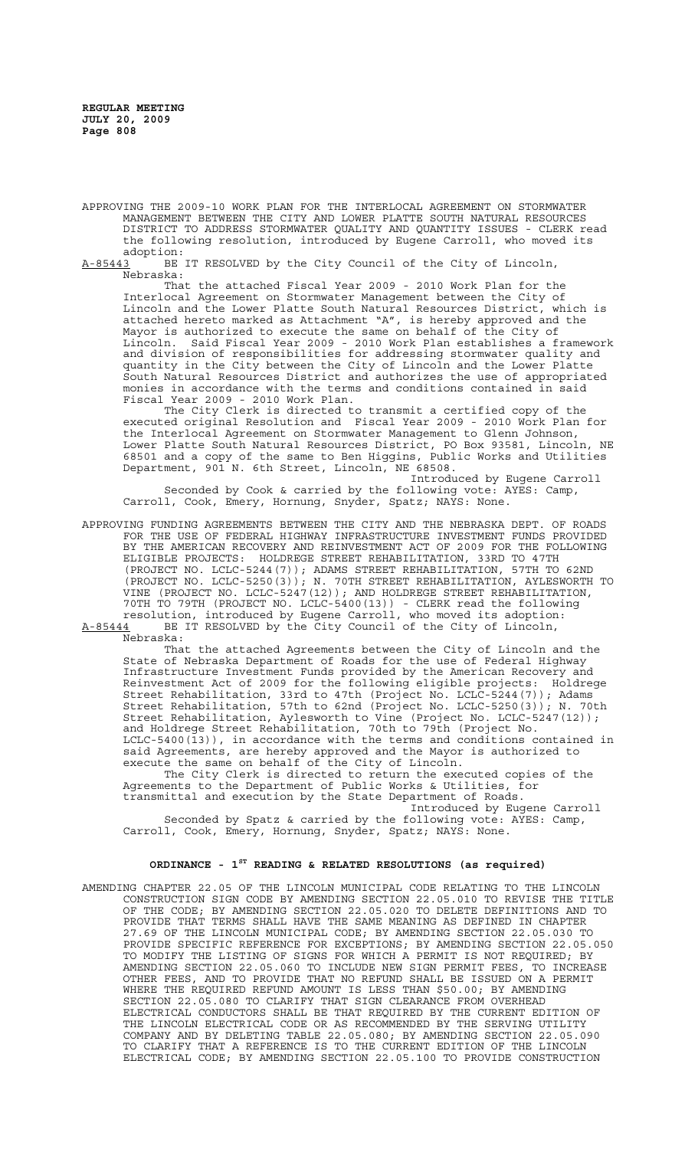APPROVING THE 2009-10 WORK PLAN FOR THE INTERLOCAL AGREEMENT ON STORMWATER MANAGEMENT BETWEEN THE CITY AND LOWER PLATTE SOUTH NATURAL RESOURCES DISTRICT TO ADDRESS STORMWATER QUALITY AND QUANTITY ISSUES - CLERK read the following resolution, introduced by Eugene Carroll, who moved its

adoption:<br>A-85443 BE BE IT RESOLVED by the City Council of the City of Lincoln, Nebraska:

That the attached Fiscal Year 2009 - 2010 Work Plan for the Interlocal Agreement on Stormwater Management between the City of Lincoln and the Lower Platte South Natural Resources District, which is attached hereto marked as Attachment "A", is hereby approved and the Mayor is authorized to execute the same on behalf of the City of Lincoln. Said Fiscal Year 2009 - 2010 Work Plan establishes a framework and division of responsibilities for addressing stormwater quality and quantity in the City between the City of Lincoln and the Lower Platte South Natural Resources District and authorizes the use of appropriated monies in accordance with the terms and conditions contained in said Fiscal Year 2009 - 2010 Work Plan.

The City Clerk is directed to transmit a certified copy of the executed original Resolution and Fiscal Year 2009 - 2010 Work Plan for the Interlocal Agreement on Stormwater Management to Glenn Johnson, Lower Platte South Natural Resources District, PO Box 93581, Lincoln, NE 68501 and a copy of the same to Ben Higgins, Public Works and Utilities Department, 901 N. 6th Street, Lincoln, NE 68508.

Introduced by Eugene Carroll Seconded by Cook & carried by the following vote: AYES: Camp, Carroll, Cook, Emery, Hornung, Snyder, Spatz; NAYS: None.

APPROVING FUNDING AGREEMENTS BETWEEN THE CITY AND THE NEBRASKA DEPT. OF ROADS FOR THE USE OF FEDERAL HIGHWAY INFRASTRUCTURE INVESTMENT FUNDS PROVIDED BY THE AMERICAN RECOVERY AND REINVESTMENT ACT OF 2009 FOR THE FOLLOWING ELIGIBLE PROJECTS: HOLDREGE STREET REHABILITATION, 33RD TO 47TH (PROJECT NO. LCLC-5244(7)); ADAMS STREET REHABILITATION, 57TH TO 62ND (PROJECT NO. LCLC-5250(3)); N. 70TH STREET REHABILITATION, AYLESWORTH TO VINE (PROJECT NO. LCLC-5247(12)); AND HOLDREGE STREET REHABILITATION, 70TH TO 79TH (PROJECT NO. LCLC-5400(13)) - CLERK read the following resolution, introduced by Eugene Carroll, who moved its adoption: A-85444 BE IT RESOLVED by the City Council of the City of Lincoln,  $A-85444$  BE  $\overline{R}$  Nebraska:

That the attached Agreements between the City of Lincoln and the State of Nebraska Department of Roads for the use of Federal Highway Infrastructure Investment Funds provided by the American Recovery and Reinvestment Act of 2009 for the following eligible projects: Holdrege Street Rehabilitation, 33rd to 47th (Project No. LCLC-5244(7)); Adams Street Rehabilitation, 57th to 62nd (Project No. LCLC-5250(3)); N. 70th Street Rehabilitation, Aylesworth to Vine (Project No. LCLC-5247(12)); and Holdrege Street Rehabilitation, 70th to 79th (Project No. LCLC-5400(13)), in accordance with the terms and conditions contained in said Agreements, are hereby approved and the Mayor is authorized to execute the same on behalf of the City of Lincoln.

The City Clerk is directed to return the executed copies of the Agreements to the Department of Public Works & Utilities, for transmittal and execution by the State Department of Roads.

Introduced by Eugene Carroll Seconded by Spatz & carried by the following vote: AYES: Camp, Carroll, Cook, Emery, Hornung, Snyder, Spatz; NAYS: None.

## **ORDINANCE - 1ST READING & RELATED RESOLUTIONS (as required)**

AMENDING CHAPTER 22.05 OF THE LINCOLN MUNICIPAL CODE RELATING TO THE LINCOLN CONSTRUCTION SIGN CODE BY AMENDING SECTION 22.05.010 TO REVISE THE TITLE OF THE CODE; BY AMENDING SECTION 22.05.020 TO DELETE DEFINITIONS AND TO PROVIDE THAT TERMS SHALL HAVE THE SAME MEANING AS DEFINED IN CHAPTER 27.69 OF THE LINCOLN MUNICIPAL CODE; BY AMENDING SECTION 22.05.030 TO PROVIDE SPECIFIC REFERENCE FOR EXCEPTIONS; BY AMENDING SECTION 22.05.050 TO MODIFY THE LISTING OF SIGNS FOR WHICH A PERMIT IS NOT REQUIRED; BY AMENDING SECTION 22.05.060 TO INCLUDE NEW SIGN PERMIT FEES, TO INCREASE OTHER FEES, AND TO PROVIDE THAT NO REFUND SHALL BE ISSUED ON A PERMIT WHERE THE REQUIRED REFUND AMOUNT IS LESS THAN \$50.00; BY AMENDING SECTION 22.05.080 TO CLARIFY THAT SIGN CLEARANCE FROM OVERHEAD ELECTRICAL CONDUCTORS SHALL BE THAT REQUIRED BY THE CURRENT EDITION OF THE LINCOLN ELECTRICAL CODE OR AS RECOMMENDED BY THE SERVING UTILITY COMPANY AND BY DELETING TABLE 22.05.080; BY AMENDING SECTION 22.05.090 TO CLARIFY THAT A REFERENCE IS TO THE CURRENT EDITION OF THE LINCOLN ELECTRICAL CODE; BY AMENDING SECTION 22.05.100 TO PROVIDE CONSTRUCTION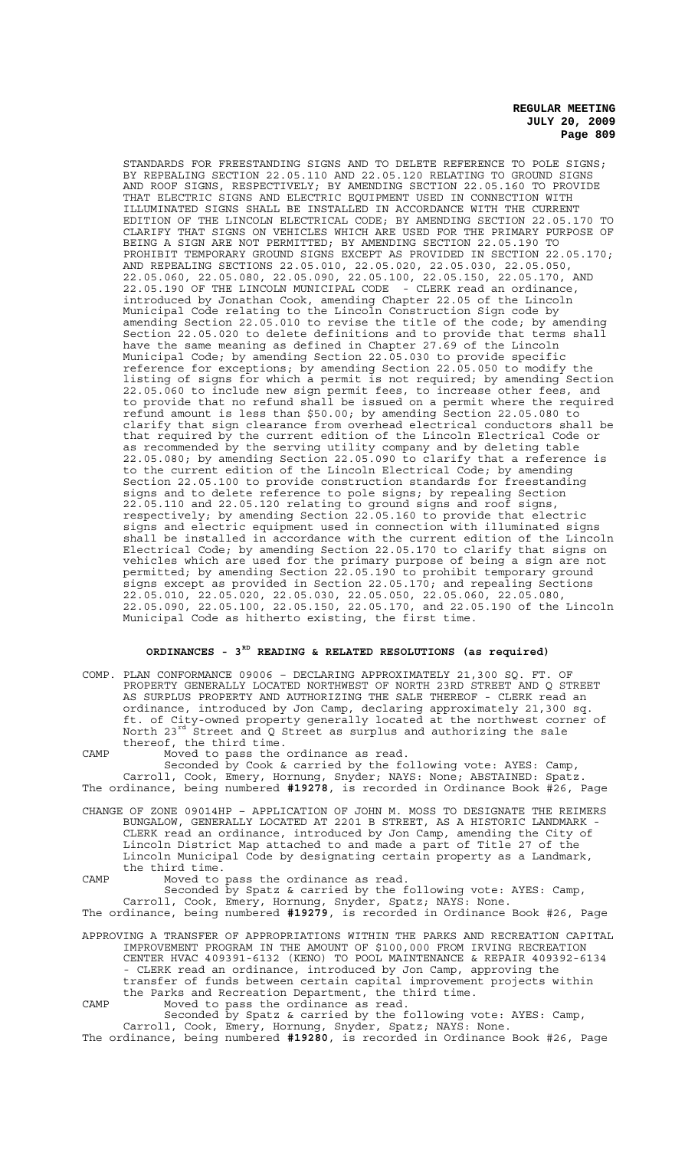STANDARDS FOR FREESTANDING SIGNS AND TO DELETE REFERENCE TO POLE SIGNS; BY REPEALING SECTION 22.05.110 AND 22.05.120 RELATING TO GROUND SIGNS AND ROOF SIGNS, RESPECTIVELY; BY AMENDING SECTION 22.05.160 TO PROVIDE THAT ELECTRIC SIGNS AND ELECTRIC EQUIPMENT USED IN CONNECTION WITH ILLUMINATED SIGNS SHALL BE INSTALLED IN ACCORDANCE WITH THE CURRENT EDITION OF THE LINCOLN ELECTRICAL CODE; BY AMENDING SECTION 22.05.170 TO CLARIFY THAT SIGNS ON VEHICLES WHICH ARE USED FOR THE PRIMARY PURPOSE OF BEING A SIGN ARE NOT PERMITTED; BY AMENDING SECTION 22.05.190 TO PROHIBIT TEMPORARY GROUND SIGNS EXCEPT AS PROVIDED IN SECTION 22.05.170; AND REPEALING SECTIONS 22.05.010, 22.05.020, 22.05.030, 22.05.050, 22.05.060, 22.05.080, 22.05.090, 22.05.100, 22.05.150, 22.05.170, AND 22.05.190 OF THE LINCOLN MUNICIPAL CODE - CLERK read an ordinance, introduced by Jonathan Cook, amending Chapter 22.05 of the Lincoln Municipal Code relating to the Lincoln Construction Sign code by amending Section 22.05.010 to revise the title of the code; by amending Section 22.05.020 to delete definitions and to provide that terms shall have the same meaning as defined in Chapter 27.69 of the Lincoln Municipal Code; by amending Section 22.05.030 to provide specific reference for exceptions; by amending Section 22.05.050 to modify the listing of signs for which a permit is not required; by amending Section 22.05.060 to include new sign permit fees, to increase other fees, and to provide that no refund shall be issued on a permit where the required refund amount is less than \$50.00; by amending Section 22.05.080 to clarify that sign clearance from overhead electrical conductors shall be that required by the current edition of the Lincoln Electrical Code or as recommended by the serving utility company and by deleting table 22.05.080; by amending Section 22.05.090 to clarify that a reference is to the current edition of the Lincoln Electrical Code; by amending Section 22.05.100 to provide construction standards for freestanding signs and to delete reference to pole signs; by repealing Section 22.05.110 and 22.05.120 relating to ground signs and roof signs, respectively; by amending Section 22.05.160 to provide that electric signs and electric equipment used in connection with illuminated signs shall be installed in accordance with the current edition of the Lincoln Electrical Code; by amending Section 22.05.170 to clarify that signs on vehicles which are used for the primary purpose of being a sign are not permitted; by amending Section 22.05.190 to prohibit temporary ground signs except as provided in Section 22.05.170; and repealing Sections 22.05.010, 22.05.020, 22.05.030, 22.05.050, 22.05.060, 22.05.080, 22.05.090, 22.05.100, 22.05.150, 22.05.170, and 22.05.190 of the Lincoln Municipal Code as hitherto existing, the first time.

## **ORDINANCES - 3RD READING & RELATED RESOLUTIONS (as required)**

COMP. PLAN CONFORMANCE 09006 – DECLARING APPROXIMATELY 21,300 SQ. FT. OF PROPERTY GENERALLY LOCATED NORTHWEST OF NORTH 23RD STREET AND Q STREET AS SURPLUS PROPERTY AND AUTHORIZING THE SALE THEREOF - CLERK read an ordinance, introduced by Jon Camp, declaring approximately 21,300 sq. ft. of City-owned property generally located at the northwest corner of North 23<sup>rd</sup> Street and Q Street as surplus and authorizing the sale thereof, the third time.

CAMP Moved to pass the ordinance as read. Seconded by Cook & carried by the following vote: AYES: Camp, Carroll, Cook, Emery, Hornung, Snyder; NAYS: None; ABSTAINED: Spatz. The ordinance, being numbered **#19278**, is recorded in Ordinance Book #26, Page CHANGE OF ZONE 09014HP – APPLICATION OF JOHN M. MOSS TO DESIGNATE THE REIMERS BUNGALOW, GENERALLY LOCATED AT 2201 B STREET, AS A HISTORIC LANDMARK -

CLERK read an ordinance, introduced by Jon Camp, amending the City of Lincoln District Map attached to and made a part of Title 27 of the Lincoln Municipal Code by designating certain property as a Landmark, the third time.

CAMP Moved to pass the ordinance as read. Seconded by Spatz & carried by the following vote: AYES: Camp, Carroll, Cook, Emery, Hornung, Snyder, Spatz; NAYS: None.

The ordinance, being numbered **#19279**, is recorded in Ordinance Book #26, Page APPROVING A TRANSFER OF APPROPRIATIONS WITHIN THE PARKS AND RECREATION CAPITAL

IMPROVEMENT PROGRAM IN THE AMOUNT OF \$100,000 FROM IRVING RECREATION CENTER HVAC 409391-6132 (KENO) TO POOL MAINTENANCE & REPAIR 409392-6134 - CLERK read an ordinance, introduced by Jon Camp, approving the transfer of funds between certain capital improvement projects within the Parks and Recreation Department, the third time. CAMP Moved to pass the ordinance as read.

Seconded by Spatz & carried by the following vote: AYES: Camp, Carroll, Cook, Emery, Hornung, Snyder, Spatz; NAYS: None. The ordinance, being numbered **#19280**, is recorded in Ordinance Book #26, Page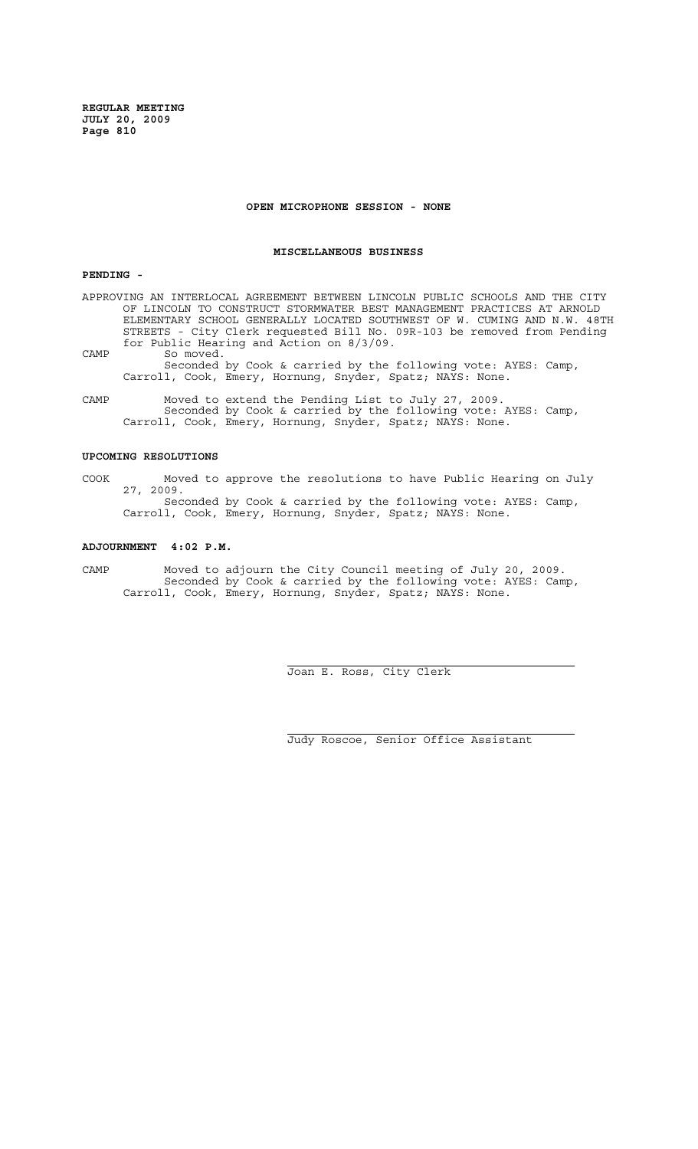### **OPEN MICROPHONE SESSION - NONE**

### **MISCELLANEOUS BUSINESS**

## **PENDING -**

APPROVING AN INTERLOCAL AGREEMENT BETWEEN LINCOLN PUBLIC SCHOOLS AND THE CITY OF LINCOLN TO CONSTRUCT STORMWATER BEST MANAGEMENT PRACTICES AT ARNOLD ELEMENTARY SCHOOL GENERALLY LOCATED SOUTHWEST OF W. CUMING AND N.W. 48TH STREETS - City Clerk requested Bill No. 09R-103 be removed from Pending for Public Hearing and Action on 8/3/09. CAMP So moved. Seconded by Cook & carried by the following vote: AYES: Camp, Carroll, Cook, Emery, Hornung, Snyder, Spatz; NAYS: None.

CAMP Moved to extend the Pending List to July 27, 2009. Seconded by Cook & carried by the following vote: AYES: Camp, Carroll, Cook, Emery, Hornung, Snyder, Spatz; NAYS: None.

## **UPCOMING RESOLUTIONS**

COOK Moved to approve the resolutions to have Public Hearing on July 27, 2009. Seconded by Cook & carried by the following vote: AYES: Camp, Carroll, Cook, Emery, Hornung, Snyder, Spatz; NAYS: None.

### **ADJOURNMENT 4:02 P.M.**

CAMP Moved to adjourn the City Council meeting of July 20, 2009. Seconded by Cook & carried by the following vote: AYES: Camp, Carroll, Cook, Emery, Hornung, Snyder, Spatz; NAYS: None.

 $\overline{a}$ 

i

Joan E. Ross, City Clerk

Judy Roscoe, Senior Office Assistant